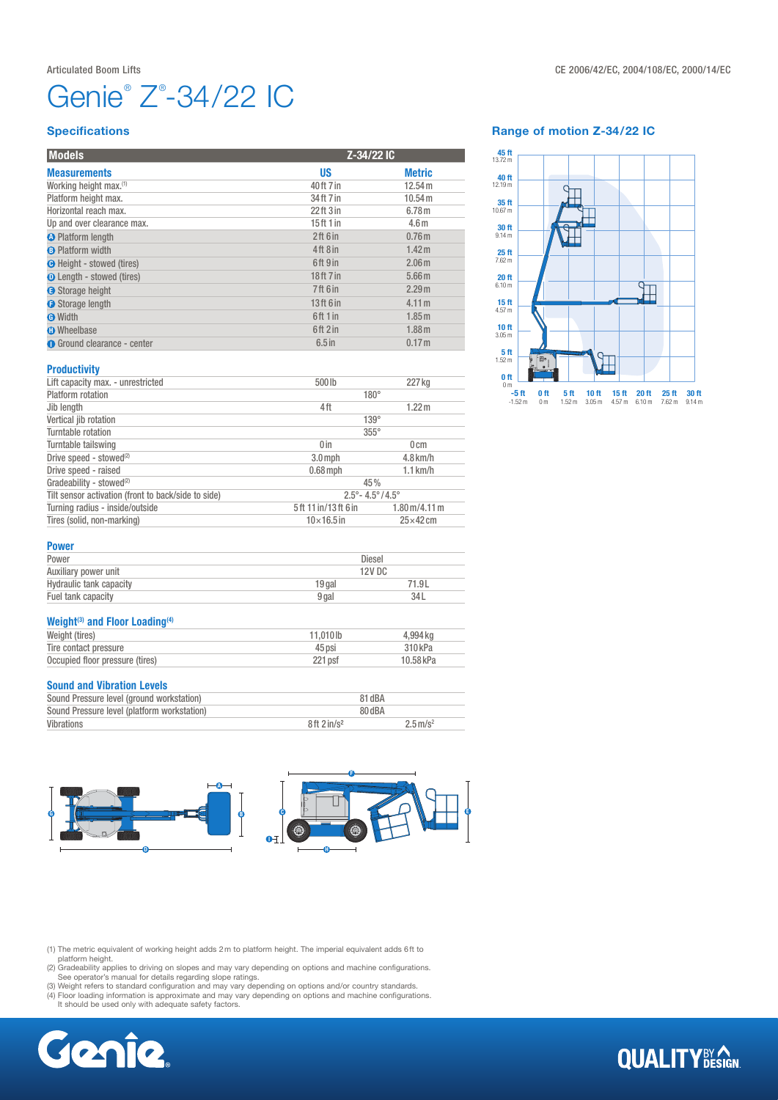# Genie® Z® -34/22 IC

#### **Specifications**

| <b>Models</b>                      |                 | Z-34/22 IC        |  |
|------------------------------------|-----------------|-------------------|--|
| <b>Measurements</b>                | US              | <b>Metric</b>     |  |
| Working height max. <sup>(1)</sup> | 40ft 7 in       | 12.54 m           |  |
| Platform height max.               | 34 ft 7 in      | 10.54 m           |  |
| Horizontal reach max.              | $22$ ft $3$ in  | 6.78 <sub>m</sub> |  |
| Up and over clearance max.         | 15ft1in         | 4.6 <sub>m</sub>  |  |
| <b>O</b> Platform length           | 2ft 6in         | 0.76 <sub>m</sub> |  |
| <b>B</b> Platform width            | 4ft8in          | 1.42 m            |  |
| <b>O</b> Height - stowed (tires)   | 6ft 9 in        | 2.06 <sub>m</sub> |  |
| <b>O</b> Length - stowed (tires)   | 18ft 7 in       | 5.66 <sub>m</sub> |  |
| Storage height                     | <b>7ft 6 in</b> | 2.29 <sub>m</sub> |  |
| Storage length                     | 13ft 6 in       | 4.11 m            |  |
| <b>O</b> Width                     | 6ft 1 in        | 1.85 m            |  |
| <b>O</b> Wheelbase                 | 6ft2in          | 1.88 <sub>m</sub> |  |
| <b>O</b> Ground clearance - center | $6.5$ in        | 0.17 <sub>m</sub> |  |

#### **Productivity**

| Lift capacity max. - unrestricted                                                               | 500lb                                   | 227 kg            |
|-------------------------------------------------------------------------------------------------|-----------------------------------------|-------------------|
| Platform rotation                                                                               | $180^\circ$                             |                   |
| Jib length                                                                                      | 4ft                                     | 1.22 <sub>m</sub> |
| Vertical jib rotation                                                                           | $139^\circ$                             |                   |
| Turntable rotation                                                                              | $355^\circ$                             |                   |
| Turntable tailswing                                                                             | 0 <sub>in</sub>                         | 0 <sub>cm</sub>   |
| Drive speed - stowed <sup>(2)</sup>                                                             | $3.0$ mph                               | $4.8$ km/h        |
| Drive speed - raised                                                                            | $0.68$ mph                              | $1.1$ km/h        |
| Gradeability - stowed <sup>(2)</sup>                                                            | 45%                                     |                   |
| Tilt sensor activation (front to back/side to side)                                             | $2.5^{\circ} - 4.5^{\circ}/4.5^{\circ}$ |                   |
| Turning radius - inside/outside<br>5ft 11 in/13ft 6 in<br>$1.80 \,\mathrm{m}/4.11 \,\mathrm{m}$ |                                         |                   |
| Tires (solid, non-marking)                                                                      | $10\times 16.5$ in                      | $25\times 42$ cm  |
|                                                                                                 |                                         |                   |

#### Range of motion Z-34/22 IC



#### Power

| --------                |                   |       |
|-------------------------|-------------------|-------|
| Power                   | Diesel            |       |
| Auxiliary power unit    | 12V <sub>DC</sub> |       |
| Hydraulic tank capacity | 19 gal            | 71.9L |
| Fuel tank capacity      | 9 gal             | 34L   |
|                         |                   |       |

#### Weight<sup>(3)</sup> and Floor Loading<sup>(4)</sup>

| Weight (tires)                  | 11.010lb | 4.994 kg  |
|---------------------------------|----------|-----------|
| Tire contact pressure           | 45 psi   | 310 kPa   |
| Occupied floor pressure (tires) | 221 psf  | 10.58 kPa |

#### Sound and Vibration Levels

| Sound Pressure level (ground workstation)   |                        | 81 dBA                 |  |
|---------------------------------------------|------------------------|------------------------|--|
| Sound Pressure level (platform workstation) | 80 dBA                 |                        |  |
| Vibrations                                  | 8ft 2in/s <sup>2</sup> | $2.5 \,\mathrm{m/s^2}$ |  |



(1) The metric equivalent of working height adds 2m to platform height. The imperial equivalent adds 6ft to

platform height.<br>
(2) Gradeability applies to driving on slopes and may vary depending on options and machine configurations.<br>
(3) Weight refers to standard configuration and may vary depending on options and/or country st



### **QUALITY**BY AGN